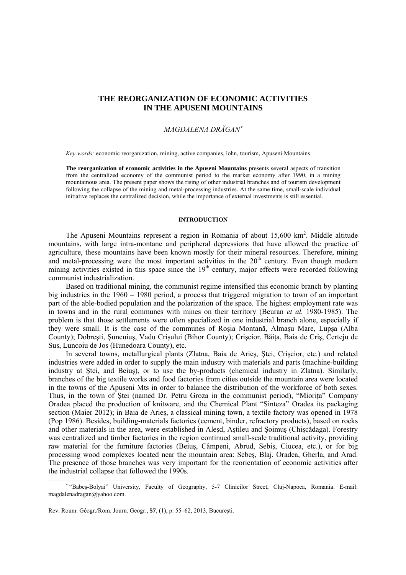# **THE REORGANIZATION OF ECONOMIC ACTIVITIES IN THE APUSENI MOUNTAINS**

## *MAGDALENA DRĂGAN*<sup>∗</sup>

*Key-words:* economic reorganization, mining, active companies, lohn, tourism, Apuseni Mountains.

**The reorganization of economic activities in the Apuseni Mountains** presents several aspects of transition from the centralized economy of the communist period to the market economy after 1990, in a mining mountainous area. The present paper shows the rising of other industrial branches and of tourism development following the collapse of the mining and metal-processing industries. At the same time, small-scale individual initiative replaces the centralized decision, while the importance of external investments is still essential.

### **INTRODUCTION**

The Apuseni Mountains represent a region in Romania of about  $15{,}600 \text{ km}^2$ . Middle altitude mountains, with large intra-montane and peripheral depressions that have allowed the practice of agriculture, these mountains have been known mostly for their mineral resources. Therefore, mining and metal-processing were the most important activities in the  $20<sup>th</sup>$  century. Even though modern mining activities existed in this space since the  $19<sup>th</sup>$  century, major effects were recorded following communist industrialization.

Based on traditional mining, the communist regime intensified this economic branch by planting big industries in the 1960 – 1980 period, a process that triggered migration to town of an important part of the able-bodied population and the polarization of the space. The highest employment rate was in towns and in the rural communes with mines on their territory (Beuran *et al.* 1980-1985). The problem is that those settlements were often specialized in one industrial branch alone, especially if they were small. It is the case of the communes of Roşia Montană, Almaşu Mare, Lupşa (Alba County); Dobresti, Suncuius, Vadu Crisului (Bihor County); Criscior, Băita, Baia de Cris, Certeju de Sus, Luncoiu de Jos (Hunedoara County), etc.

In several towns, metallurgical plants (Zlatna, Baia de Arieş, Ştei, Crişcior, etc.) and related industries were added in order to supply the main industry with materials and parts (machine-building industry at Ştei, and Beiuş), or to use the by-products (chemical industry in Zlatna). Similarly, branches of the big textile works and food factories from cities outside the mountain area were located in the towns of the Apuseni Mts in order to balance the distribution of the workforce of both sexes. Thus, in the town of Ştei (named Dr. Petru Groza in the communist period), "Mioriţa" Company Oradea placed the production of knitware, and the Chemical Plant "Sinteza" Oradea its packaging section (Maier 2012); in Baia de Arieş, a classical mining town, a textile factory was opened in 1978 (Pop 1986). Besides, building-materials factories (cement, binder, refractory products), based on rocks and other materials in the area, were established in Aleşd, Aştileu and Şoimuş (Chişcădaga). Forestry was centralized and timber factories in the region continued small-scale traditional activity, providing raw material for the furniture factories (Beiuş, Câmpeni, Abrud, Sebiş, Ciucea, etc.), or for big processing wood complexes located near the mountain area: Sebeş, Blaj, Oradea, Gherla, and Arad. The presence of those branches was very important for the reorientation of economic activities after the industrial collapse that followed the 1990s.

 $\overline{a}$ 

<sup>∗</sup> "Babeş-Bolyai" University, Faculty of Geography, 5-7 Clinicilor Street, Cluj-Napoca, Romania. E-mail: magdalenadragan@yahoo.com.

Rev. Roum. Géogr./Rom. Journ. Geogr., **57**, (1), p. 55–62, 2013, Bucureşti.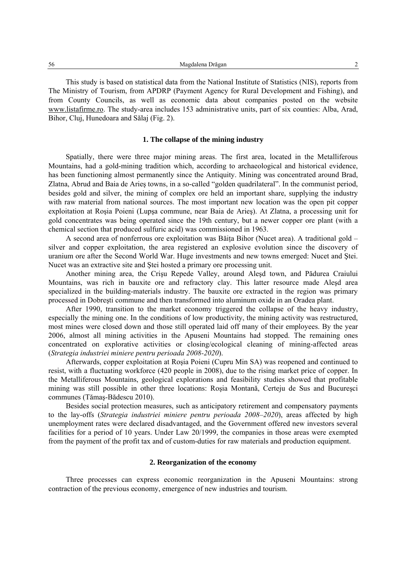Magdalena Drăgan 2

This study is based on statistical data from the National Institute of Statistics (NIS), reports from The Ministry of Tourism, from APDRP (Payment Agency for Rural Development and Fishing), and from County Councils, as well as economic data about companies posted on the website www.listafirme.ro. The study-area includes 153 administrative units, part of six counties: Alba, Arad, Bihor, Cluj, Hunedoara and Sălaj (Fig. 2).

## **1. The collapse of the mining industry**

Spatially, there were three major mining areas. The first area, located in the Metalliferous Mountains, had a gold-mining tradition which, according to archaeological and historical evidence, has been functioning almost permanently since the Antiquity. Mining was concentrated around Brad, Zlatna, Abrud and Baia de Arieş towns, in a so-called "golden quadrilateral". In the communist period, besides gold and silver, the mining of complex ore held an important share, supplying the industry with raw material from national sources. The most important new location was the open pit copper exploitation at Roşia Poieni (Lupşa commune, near Baia de Arieş). At Zlatna, a processing unit for gold concentrates was being operated since the 19th century, but a newer copper ore plant (with a chemical section that produced sulfuric acid) was commissioned in 1963.

A second area of nonferrous ore exploitation was Băita Bihor (Nucet area). A traditional gold  $$ silver and copper exploitation, the area registered an explosive evolution since the discovery of uranium ore after the Second World War. Huge investments and new towns emerged: Nucet and Ştei. Nucet was an extractive site and Ştei hosted a primary ore processing unit.

Another mining area, the Crişu Repede Valley, around Aleşd town, and Pădurea Craiului Mountains, was rich in bauxite ore and refractory clay. This latter resource made Aleşd area specialized in the building-materials industry. The bauxite ore extracted in the region was primary processed in Dobreşti commune and then transformed into aluminum oxide in an Oradea plant.

After 1990, transition to the market economy triggered the collapse of the heavy industry, especially the mining one. In the conditions of low productivity, the mining activity was restructured, most mines were closed down and those still operated laid off many of their employees. By the year 2006, almost all mining activities in the Apuseni Mountains had stopped. The remaining ones concentrated on explorative activities or closing/ecological cleaning of mining-affected areas (*Strategia industriei miniere pentru perioada 2008-2020*).

Afterwards, copper exploitation at Roşia Poieni (Cupru Min SA) was reopened and continued to resist, with a fluctuating workforce (420 people in 2008), due to the rising market price of copper. In the Metalliferous Mountains, geological explorations and feasibility studies showed that profitable mining was still possible in other three locations: Roşia Montană, Certeju de Sus and Bucureşci communes (Tămaş-Bădescu 2010).

Besides social protection measures, such as anticipatory retirement and compensatory payments to the lay-offs (*Strategia industriei miniere pentru perioada 2008–2020*), areas affected by high unemployment rates were declared disadvantaged, and the Government offered new investors several facilities for a period of 10 years. Under Law 20/1999, the companies in those areas were exempted from the payment of the profit tax and of custom-duties for raw materials and production equipment.

### **2. Reorganization of the economy**

Three processes can express economic reorganization in the Apuseni Mountains: strong contraction of the previous economy, emergence of new industries and tourism.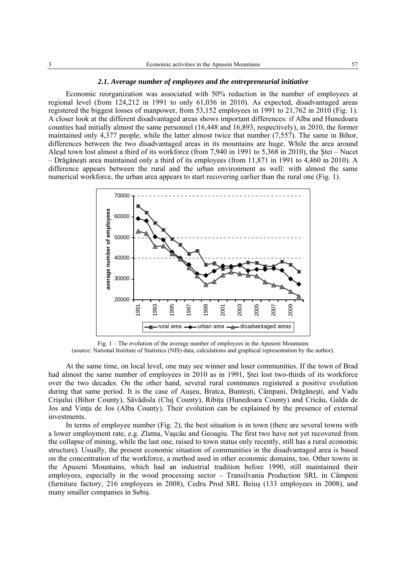#### *2.1. Average number of employees and the entrepreneurial initiative*

Economic reorganization was associated with 50% reduction in the number of employees at regional level (from 124,212 in 1991 to only 61,036 in 2010). As expected, disadvantaged areas registered the biggest losses of manpower, from 53,152 employees in 1991 to 21,762 in 2010 (Fig. 1). A closer look at the different disadvantaged areas shows important differences: if Alba and Hunedoara counties had initially almost the same personnel (16,448 and 16,893, respectively), in 2010, the former maintained only 4,377 people, while the latter almost twice that number (7,557). The same in Bihor, differences between the two disadvantaged areas in its mountains are huge. While the area around Aleşd town lost almost a third of its workforce (from 7,940 in 1991 to 5,368 in 2010), the Ştei – Nucet – Drăgăneşti area maintained only a third of its employees (from 11,871 in 1991 to 4,460 in 2010). A difference appears between the rural and the urban environment as well: with almost the same numerical workforce, the urban area appears to start recovering earlier than the rural one (Fig. 1).



Fig. 1 – The evolution of the average number of employees in the Apuseni Mountains (source: National Institute of Statistics (NIS) data, calculations and graphical representation by the author).

At the same time, on local level, one may see winner and loser communities. If the town of Brad had almost the same number of employees in 2010 as in 1991, Ştei lost two-thirds of its workforce over the two decades. On the other hand, several rural communes registered a positive evolution during that same period. It is the case of Auşeu, Bratca, Bunteşti, Câmpani, Drăgăneşti, and Vadu Crișului (Bihor County), Săvădisla (Cluj County), Ribita (Hunedoara County) and Cricău, Galda de Jos and Vintu de Jos (Alba County). Their evolution can be explained by the presence of external investments.

In terms of employee number (Fig. 2), the best situation is in town (there are several towns with a lower employment rate, e.g. Zlatna, Vaşcău and Geoagiu. The first two have not yet recovered from the collapse of mining, while the last one, raised to town status only recently, still has a rural economic structure). Usually, the present economic situation of communities in the disadvantaged area is based on the concentration of the workforce, a method used in other economic domains, too. Other towns in the Apuseni Mountains, which had an industrial tradition before 1990, still maintained their employees, especially in the wood processing sector – Transilvania Production SRL in Câmpeni (furniture factory, 216 employees in 2008), Cedru Prod SRL Beiuş (133 employees in 2008), and many smaller companies in Sebiş.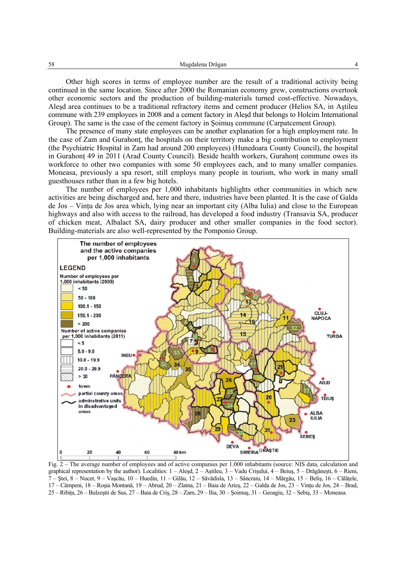Other high scores in terms of employee number are the result of a traditional activity being continued in the same location. Since after 2000 the Romanian economy grew, constructions overtook other economic sectors and the production of building-materials turned cost-effective. Nowadays, Aleşd area continues to be a traditional refractory items and cement producer (Helios SA, in Aştileu commune with 239 employees in 2008 and a cement factory in Aleşd that belongs to Holcim International Group). The same is the case of the cement factory in Şoimuş commune (Carpatcement Group).

The presence of many state employees can be another explanation for a high employment rate. In the case of Zam and Gurahont, the hospitals on their territory make a big contribution to employment (the Psychiatric Hospital in Zam had around 200 employees) (Hunedoara County Council), the hospital in Gurahont 49 in 2011 (Arad County Council). Beside health workers, Gurahont commune owes its workforce to other two companies with some 50 employees each, and to many smaller companies. Moneasa, previously a spa resort, still employs many people in tourism, who work in many small guesthouses rather than in a few big hotels.

The number of employees per 1,000 inhabitants highlights other communities in which new activities are being discharged and, here and there, industries have been planted. It is the case of Galda de Jos – Vintu de Jos area which, lying near an important city (Alba Iulia) and close to the European highways and also with access to the railroad, has developed a food industry (Transavia SA, producer of chicken meat, Albalact SA, dairy producer and other smaller companies in the food sector). Building-materials are also well-represented by the Pomponio Group.



Fig. 2 – The average number of employees and of active companies per 1,000 inhabitants (source: NIS data, calculation and graphical representation by the author). Localities: 1 – Aleşd, 2 – Aştileu, 3 – Vadu Crişului, 4 – Beiuş, 5 – Drăgăneşti, 6 – Rieni, 7 – Ştei, 8 – Nucet, 9 – Vaşcău, 10 – Huedin, 11 – Gilău, 12 – Săvădisla, 13 – Sâncraiu, 14 – Mărgău, 15 – Beliş, 16 – Călăţele, 17 – Câmpeni, 18 – Roşia Montană, 19 – Abrud, 20 – Zlatna, 21 – Baia de Arieş, 22 – Galda de Jos, 23 – Vinţu de Jos, 24 – Brad, 25 – Ribiţa, 26 – Bulzeştii de Sus, 27 – Baia de Criş, 28 – Zam, 29 – Ilia, 30 – Şoimuş, 31 – Geoagiu, 32 – Sebiş, 33 – Moneasa.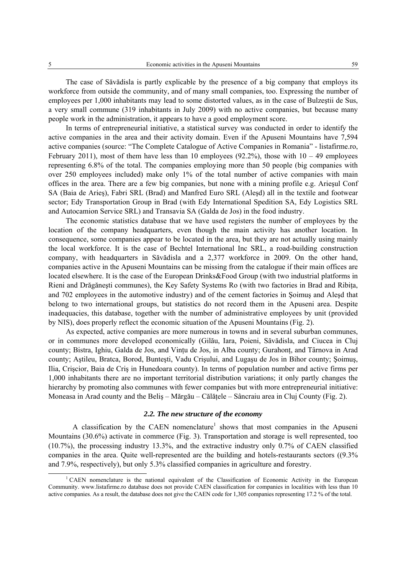The case of Săvădisla is partly explicable by the presence of a big company that employs its workforce from outside the community, and of many small companies, too. Expressing the number of employees per 1,000 inhabitants may lead to some distorted values, as in the case of Bulzeştii de Sus, a very small commune (319 inhabitants in July 2009) with no active companies, but because many people work in the administration, it appears to have a good employment score.

In terms of entrepreneurial initiative, a statistical survey was conducted in order to identify the active companies in the area and their activity domain. Even if the Apuseni Mountains have 7,594 active companies (source: "The Complete Catalogue of Active Companies in Romania" - listafirme.ro, February 2011), most of them have less than 10 employees (92.2%), those with  $10 - 49$  employees representing 6.8% of the total. The companies employing more than 50 people (big companies with over 250 employees included) make only 1% of the total number of active companies with main offices in the area. There are a few big companies, but none with a mining profile e.g. Arieşul Conf SA (Baia de Arieş), Fabri SRL (Brad) and Manfred Euro SRL (Aleşd) all in the textile and footwear sector; Edy Transportation Group in Brad (with Edy International Spedition SA, Edy Logistics SRL and Autocamion Service SRL) and Transavia SA (Galda de Jos) in the food industry.

The economic statistics database that we have used registers the number of employees by the location of the company headquarters, even though the main activity has another location. In consequence, some companies appear to be located in the area, but they are not actually using mainly the local workforce. It is the case of Bechtel International Inc SRL, a road-building construction company, with headquarters in Săvădisla and a 2,377 workforce in 2009. On the other hand, companies active in the Apuseni Mountains can be missing from the catalogue if their main offices are located elsewhere. It is the case of the European Drinks&Food Group (with two industrial platforms in Rieni and Drăgănești communes), the Key Safety Systems Ro (with two factories in Brad and Ribita, and 702 employees in the automotive industry) and of the cement factories in Şoimuş and Aleşd that belong to two international groups, but statistics do not record them in the Apuseni area. Despite inadequacies, this database, together with the number of administrative employees by unit (provided by NIS), does properly reflect the economic situation of the Apuseni Mountains (Fig. 2).

As expected, active companies are more numerous in towns and in several suburban communes, or in communes more developed economically (Gilău, Iara, Poieni, Săvădisla, and Ciucea in Cluj county; Bistra, Ighiu, Galda de Jos, and Vintu de Jos, in Alba county; Gurahont, and Târnova in Arad county; Aştileu, Bratca, Borod, Bunteşti, Vadu Crişului, and Lugaşu de Jos in Bihor county; Şoimuş, Ilia, Crişcior, Baia de Criş in Hunedoara county). In terms of population number and active firms per 1,000 inhabitants there are no important territorial distribution variations; it only partly changes the hierarchy by promoting also communes with fewer companies but with more entrepreneurial initiative: Moneasa in Arad county and the Beliş – Mărgău – Călăţele – Sâncraiu area in Cluj County (Fig. 2).

### *2.2. The new structure of the economy*

A classification by the CAEN nomenclature<sup>1</sup> shows that most companies in the Apuseni Mountains (30.6%) activate in commerce (Fig. 3). Transportation and storage is well represented, too (10.7%), the processing industry 13.3%, and the extractive industry only 0.7% of CAEN classified companies in the area. Quite well-represented are the building and hotels-restaurants sectors ((9.3% and 7.9%, respectively), but only 5.3% classified companies in agriculture and forestry.

 $\overline{1}$ <sup>1</sup> CAEN nomenclature is the national equivalent of the Classification of Economic Activity in the European Community. www.listafirme.ro database does not provide CAEN classification for companies in localities with less than 10 active companies. As a result, the database does not give the CAEN code for 1,305 companies representing 17.2 % of the total.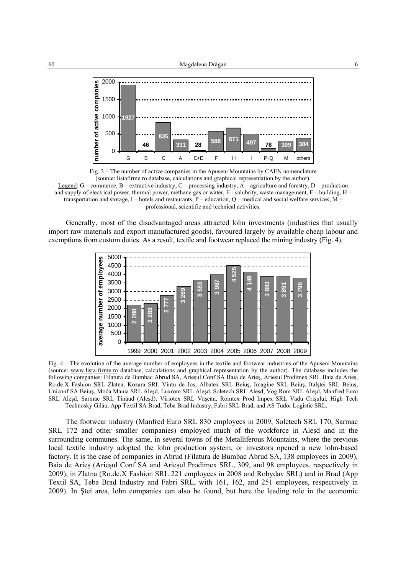

Fig. 3 – The number of active companies in the Apuseni Mountains by CAEN nomenclature (source: listafirme.ro database, calculations and graphical representation by the author). Legend: G – commerce, B – extractive industry, C – processing industry, A – agriculture and forestry, D – production and supply of electrical power, thermal power, methane gas or water,  $E$  - salubrity, waste management,  $F$  – building,  $H$  – transportation and storage,  $I$  – hotels and restaurants,  $P$  – education,  $Q$  – medical and social welfare services,  $M$  – professional, scientific and technical activities.

Generally, most of the disadvantaged areas attracted lohn investments (industries that usually import raw materials and export manufactured goods), favoured largely by available cheap labour and exemptions from custom duties. As a result, textile and footwear replaced the mining industry (Fig. 4).



Fig. 4 – The evolution of the average number of employees in the textile and footwear industries of the Apuseni Mountains (source: www.lista-firme.ro database, calculations and graphical representation by the author). The database includes the following companies: Filatura de Bumbac Abrud SA, Arieşul Conf SA Baia de Arieş, Arieşul Prodimex SRL Baia de Arieş, Ro.de.X Fashion SRL Zlatna, Kozara SRL Vinţu de Jos, Albatex SRL Beiuş, Imagine SRL Beiuş, Italştei SRL Beiuş, Uniconf SA Beiuş, Moda Mania SRL Aleşd, Luxrom SRL Aleşd, Soletech SRL Aleşd, Vog Rom SRL Aleşd, Manfred Euro SRL Aleşd, Sarmac SRL Tinăud (Aleşd), Viriotex SRL Vaşcău, Romtex Prod Impex SRL Vadu Crişului, High Tech Technosky Gilău, App Textil SA Brad, Teba Brad Industry, Fabri SRL Brad, and AS Tudor Logistic SRL.

The footwear industry (Manfred Euro SRL 830 employees in 2009, Soletech SRL 170, Sarmac SRL 172 and other smaller companies) employed much of the workforce in Aleşd and in the surrounding communes. The same, in several towns of the Metalliferous Mountains, where the previous local textile industry adopted the lohn production system, or investors opened a new lohn-based factory. It is the case of companies in Abrud (Filatura de Bumbac Abrud SA, 138 employees in 2009), Baia de Arieş (Arieşul Conf SA and Arieşul Prodimex SRL, 309, and 98 employees, respectively in 2009), in Zlatna (Ro.de.X Fashion SRL 221 employees in 2008 and Robydav SRL) and in Brad (App Textil SA, Teba Brad Industry and Fabri SRL, with 161, 162, and 251 employees, respectively in 2009). In Ştei area, lohn companies can also be found, but here the leading role in the economic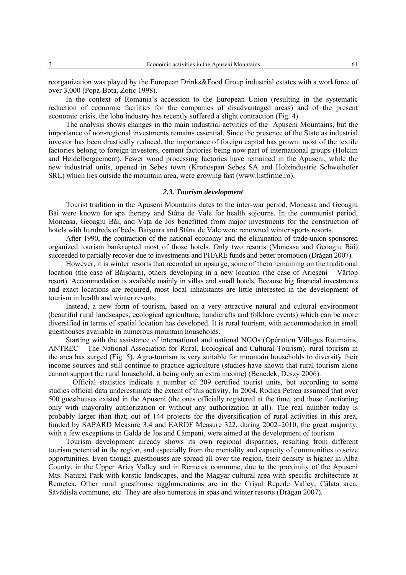reorganization was played by the European Drinks&Food Group industrial estates with a workforce of over 3,000 (Popa-Bota, Zotic 1998).

In the context of Romania's accession to the European Union (resulting in the systematic reduction of economic facilities for the companies of disadvantaged areas) and of the present economic crisis, the lohn industry has recently suffered a slight contraction (Fig. 4).

The analysis shows changes in the main industrial actvities of the Apuseni Mountains, but the importance of non-regional investments remains essential. Since the presence of the State as industrial investor has been drastically reduced, the importance of foreign capital has grown: most of the textile factories belong to foreign investors, cement factories being now part of international groups (Holcim and Heidelbergcement). Fewer wood processing factories have remained in the Apuseni, while the new industrial units, opened in Sebeş town (Kronospan Sebeş SA and Holzindustrie Schweihofer SRL) which lies outside the mountain area, were growing fast (www.listfirme.ro).

## *2.3. Tourism development*

Tourist tradition in the Apuseni Mountains dates to the inter-war period, Moneasa and Geoagiu Băi were known for spa therapy and Stâna de Vale for health sojourns. In the communist period, Moneasa, Geoagiu Băi, and Vata de Jos benefitted from major investments for the construction of hotels with hundreds of beds. Băişoara and Stâna de Vale were renowned winter sports resorts.

After 1990, the contraction of the national economy and the elimination of trade-union-sponsored organized tourism bankrupted most of those hotels. Only two resorts (Moneasa and Geoagiu Băi) succeeded to partially recover due to investments and PHARE funds and better promotion (Drăgan 2007).

However, it is winter resorts that recorded an upsurge, some of them remaining on the traditional location (the case of Băisoara), others developing in a new location (the case of Arieseni – Vârtop resort). Accommodation is available mainly in villas and small hotels. Because big financial investments and exact locations are required, most local inhabitants are little interested in the development of tourism in health and winter resorts.

Instead, a new form of tourism, based on a very attractive natural and cultural environment (beautiful rural landscapes, ecological agriculture, handicrafts and folklore events) which can be more diversified in terms of spatial location has developed. It is rural tourism, with accommodation in small guesthouses available in numerous mountain households.

Starting with the assistance of international and national NGOs (Opération Villages Roumains, ANTREC – The National Association for Rural, Ecological and Cultural Tourism), rural tourism in the area has surged (Fig. 5). Agro-tourism is very suitable for mountain households to diversify their income sources and still continue to practice agriculture (studies have shown that rural tourism alone cannot support the rural household, it being only an extra income) (Benedek, Deszy 2006).

Official statistics indicate a number of 209 certified tourist units, but according to some studies official data underestimate the extent of this activity. In 2004, Rodica Petrea assumed that over 500 guesthouses existed in the Apuseni (the ones officially registered at the time, and those functioning only with mayoralty authorization or without any authorization at all). The real number today is probably larger than that; out of 144 projects for the diversification of rural activities in this area, funded by SAPARD Measure 3.4 and EARDF Measure 322, during 2002–2010, the great majority, with a few exceptions in Galda de Jos and Câmpeni, were aimed at the development of tourism.

Tourism development already shows its own regional disparities, resulting from different tourism potential in the region, and especially from the mentality and capacity of communities to seize opportunities. Even though guesthouses are spread all over the region, their density is higher in Alba County, in the Upper Arieş Valley and in Remetea commune, due to the proximity of the Apuseni Mts. Natural Park with karstic landscapes, and the Magyar cultural area with specific architecture at Remetea. Other rural guesthouse agglomerations are in the Crişul Repede Valley, Călata area, Săvădisla commune, etc. They are also numerous in spas and winter resorts (Drăgan 2007).